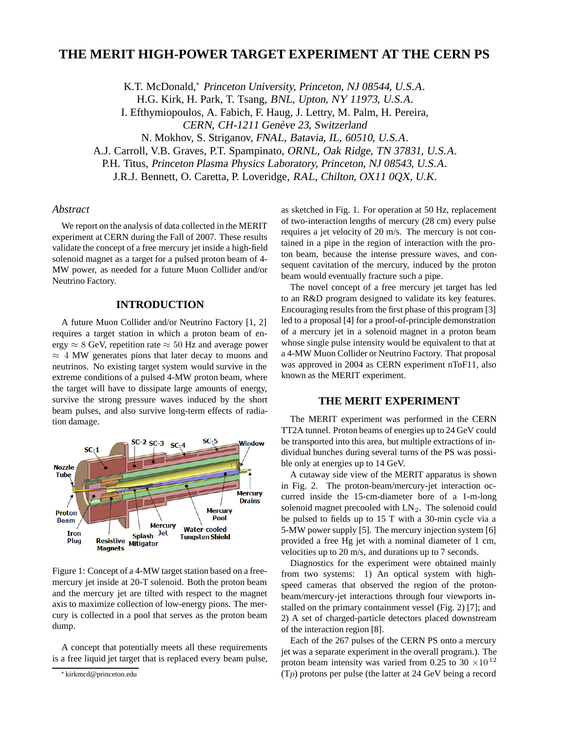# **THE MERIT HIGH-POWER TARGET EXPERIMENT AT THE CERN PS**

K.T. McDonald,<sup>∗</sup> Princeton University, Princeton, NJ 08544, U.S.A.

H.G. Kirk, H. Park, T. Tsang, BNL, Upton, NY 11973, U.S.A.

I. Efthymiopoulos, A. Fabich, F. Haug, J. Lettry, M. Palm, H. Pereira, CERN, CH-1211 Genève 23, Switzerland

N. Mokhov, S. Striganov, FNAL, Batavia, IL, 60510, U.S.A.

A.J. Carroll, V.B. Graves, P.T. Spampinato, ORNL, Oak Ridge, TN 37831, U.S.A.

P.H. Titus, Princeton Plasma Physics Laboratory, Princeton, NJ 08543, U.S.A.

J.R.J. Bennett, O. Caretta, P. Loveridge, RAL, Chilton, OX11 0QX, U.K.

### *Abstract*

We report on the analysis of data collected in the MERIT experiment at CERN during the Fall of 2007. These results validate the concept of a free mercury jet inside a high-field solenoid magnet as a target for a pulsed proton beam of 4- MW power, as needed for a future Muon Collider and/or Neutrino Factory.

## **INTRODUCTION**

A future Muon Collider and/or Neutrino Factory [1, 2] requires a target station in which a proton beam of energy  $\approx 8$  GeV, repetition rate  $\approx 50$  Hz and average power  $\approx$  4 MW generates pions that later decay to muons and neutrinos. No existing target system would survive in the extreme conditions of a pulsed 4-MW proton beam, where the target will have to dissipate large amounts of energy, survive the strong pressure waves induced by the short beam pulses, and also survive long-term effects of radiation damage.



Figure 1: Concept of a 4-MW target station based on a freemercury jet inside at 20-T solenoid. Both the proton beam and the mercury jet are tilted with respect to the magnet axis to maximize collection of low-energy pions. The mercury is collected in a pool that serves as the proton beam dump.

A concept that potentially meets all these requirements is a free liquid jet target that is replaced every beam pulse,

as sketched in Fig. 1. For operation at 50 Hz, replacement of two-interaction lengths of mercury (28 cm) every pulse requires a jet velocity of 20 m/s. The mercury is not contained in a pipe in the region of interaction with the proton beam, because the intense pressure waves, and consequent cavitation of the mercury, induced by the proton beam would eventually fracture such a pipe.

The novel concept of a free mercury jet target has led to an R&D program designed to validate its key features. Encouraging results from the first phase of this program [3] led to a proposal [4] for a proof-of-principle demonstration of a mercury jet in a solenoid magnet in a proton beam whose single pulse intensity would be equivalent to that at a 4-MW Muon Collider or Neutrino Factory. That proposal was approved in 2004 as CERN experiment nToF11, also known as the MERIT experiment.

### **THE MERIT EXPERIMENT**

The MERIT experiment was performed in the CERN TT2A tunnel. Proton beams of energies up to 24 GeV could be transported into this area, but multiple extractions of individual bunches during several turns of the PS was possible only at energies up to 14 GeV.

A cutaway side view of the MERIT apparatus is shown in Fig. 2. The proton-beam/mercury-jet interaction occurred inside the 15-cm-diameter bore of a 1-m-long solenoid magnet precooled with  $LN<sub>2</sub>$ . The solenoid could be pulsed to fields up to 15 T with a 30-min cycle via a 5-MW power supply [5]. The mercury injection system [6] provided a free Hg jet with a nominal diameter of 1 cm, velocities up to 20 m/s, and durations up to 7 seconds.

Diagnostics for the experiment were obtained mainly from two systems: 1) An optical system with highspeed cameras that observed the region of the protonbeam/mercury-jet interactions through four viewports installed on the primary containment vessel (Fig. 2) [7]; and 2) A set of charged-particle detectors placed downstream of the interaction region [8].

Each of the 267 pulses of the CERN PS onto a mercury jet was a separate experiment in the overall program.). The proton beam intensity was varied from 0.25 to 30  $\times$ 10<sup>12</sup> (T*p*) protons per pulse (the latter at 24 GeV being a record

<sup>∗</sup> kirkmcd@princeton.edu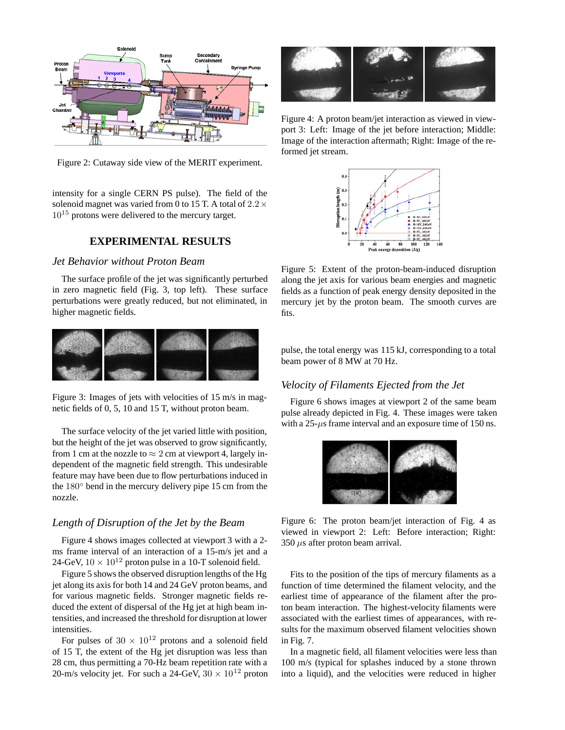

Figure 2: Cutaway side view of the MERIT experiment.

intensity for a single CERN PS pulse). The field of the solenoid magnet was varied from 0 to 15 T. A total of  $2.2 \times$  $10^{15}$  protons were delivered to the mercury target.

### **EXPERIMENTAL RESULTS**

# *Jet Behavior without Proton Beam*

The surface profile of the jet was significantly perturbed in zero magnetic field (Fig. 3, top left). These surface perturbations were greatly reduced, but not eliminated, in higher magnetic fields.



Figure 3: Images of jets with velocities of 15 m/s in magnetic fields of 0, 5, 10 and 15 T, without proton beam.

The surface velocity of the jet varied little with position, but the height of the jet was observed to grow significantly, from 1 cm at the nozzle to  $\approx$  2 cm at viewport 4, largely independent of the magnetic field strength. This undesirable feature may have been due to flow perturbations induced in the 180◦ bend in the mercury delivery pipe 15 cm from the nozzle.

### *Length of Disruption of the Jet by the Beam*

Figure 4 shows images collected at viewport 3 with a 2 ms frame interval of an interaction of a 15-m/s jet and a 24-GeV,  $10 \times 10^{12}$  proton pulse in a 10-T solenoid field.

Figure 5 shows the observed disruption lengths of the Hg jet along its axis for both 14 and 24 GeV proton beams, and for various magnetic fields. Stronger magnetic fields reduced the extent of dispersal of the Hg jet at high beam intensities, and increased the threshold for disruption at lower intensities.

For pulses of  $30 \times 10^{12}$  protons and a solenoid field of 15 T, the extent of the Hg jet disruption was less than 28 cm, thus permitting a 70-Hz beam repetition rate with a 20-m/s velocity jet. For such a 24-GeV,  $30 \times 10^{12}$  proton



Figure 4: A proton beam/jet interaction as viewed in viewport 3: Left: Image of the jet before interaction; Middle: Image of the interaction aftermath; Right: Image of the reformed jet stream.



Figure 5: Extent of the proton-beam-induced disruption along the jet axis for various beam energies and magnetic fields as a function of peak energy density deposited in the mercury jet by the proton beam. The smooth curves are fits.

pulse, the total energy was 115 kJ, corresponding to a total beam power of 8 MW at 70 Hz.

# *Velocity of Filaments Ejected from the Jet*

Figure 6 shows images at viewport 2 of the same beam pulse already depicted in Fig. 4. These images were taken with a 25-*µ*s frame interval and an exposure time of 150 ns.



Figure 6: The proton beam/jet interaction of Fig. 4 as viewed in viewport 2: Left: Before interaction; Right: 350 *µ*s after proton beam arrival.

Fits to the position of the tips of mercury filaments as a function of time determined the filament velocity, and the earliest time of appearance of the filament after the proton beam interaction. The highest-velocity filaments were associated with the earliest times of appearances, with results for the maximum observed filament velocities shown in Fig. 7.

In a magnetic field, all filament velocities were less than 100 m/s (typical for splashes induced by a stone thrown into a liquid), and the velocities were reduced in higher